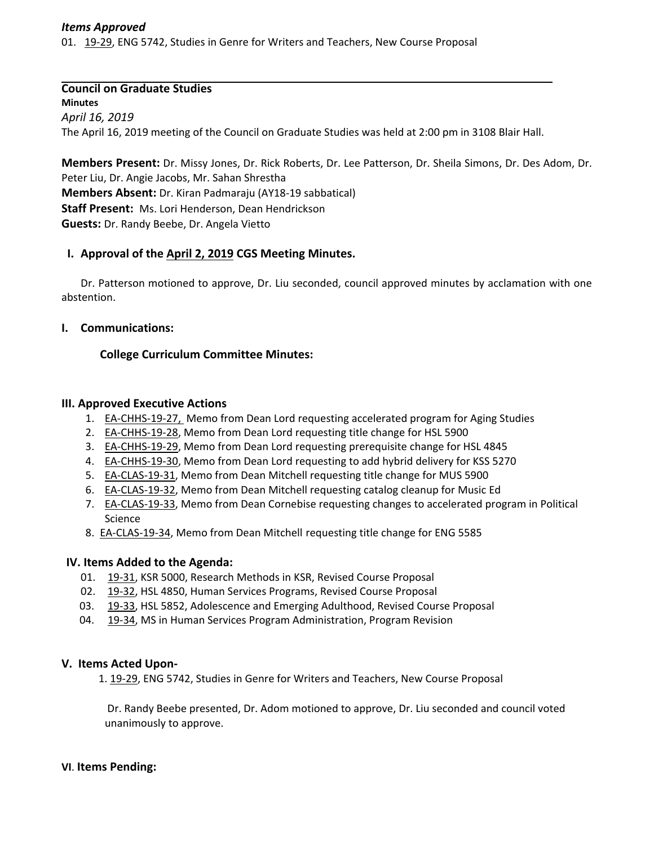#### *Items Approved*

01. 19‐[29,](http://castle.eiu.edu/eiucgs/currentagendaitems/agenda19-29.pdf) ENG 5742, Studies in Genre for Writers and Teachers, New Course Proposal

# **Council on Graduate Studies**

**Minutes** *April 16, 2019* The April 16, 2019 meeting of the Council on Graduate Studies was held at 2:00 pm in 3108 Blair Hall.

**Members Present:** Dr. Missy Jones, Dr. Rick Roberts, Dr. Lee Patterson, Dr. Sheila Simons, Dr. Des Adom, Dr. Peter Liu, Dr. Angie Jacobs, Mr. Sahan Shrestha **Members Absent:** Dr. Kiran Padmaraju (AY18‐19 sabbatical) **Staff Present:** Ms. Lori Henderson, Dean Hendrickson **Guests:** Dr. Randy Beebe, Dr. Angela Vietto

### **I. Approval of the April 2, [2019](http://castle.eiu.edu/eiucgs/currentminutes/Minutes4-2-19.pdf) CGS Meeting Minutes.**

Dr. Patterson motioned to approve, Dr. Liu seconded, council approved minutes by acclamation with one abstention.

### **I. Communications:**

### **College Curriculum Committee Minutes:**

#### **III. Approved Executive Actions**

- 1. EA-[CHHS](http://castle.eiu.edu/eiucgs/exec-actions/EA-CHHS-19-27.pdf)-19-27, Memo from Dean Lord requesting accelerated program for Aging Studies
- 2. EA-[CHHS](http://castle.eiu.edu/eiucgs/exec-actions/EA-CHHS-19-28.pdf)-19-28, Memo from Dean Lord requesting title change for HSL 5900
- 3. EA-[CHHS](http://castle.eiu.edu/eiucgs/exec-actions/EA-CHHS-19-29.pdf)-19-29, Memo from Dean Lord requesting prerequisite change for HSL 4845
- 4. EA‐[CHHS](http://castle.eiu.edu/eiucgs/exec-actions/EA-CHHS-19-30.pdf)‐19‐30, Memo from Dean Lord requesting to add hybrid delivery for KSS 5270
- 5. EA-[CLAS](http://castle.eiu.edu/eiucgs/exec-actions/EA-CLAS-19-31.pdf)-19-31, Memo from Dean Mitchell requesting title change for MUS 5900
- 6. EA‐[CLAS](http://castle.eiu.edu/eiucgs/exec-actions/EA-CLAS-19-32.pdf)‐19‐32, Memo from Dean Mitchell requesting catalog cleanup for Music Ed
- 7. EA-[CLAS](http://castle.eiu.edu/eiucgs/exec-actions/EA-CLAS-19-33.pdf)-19-33, Memo from Dean Cornebise requesting changes to accelerated program in Political Science
- 8. EA-[CLAS](http://castle.eiu.edu/eiucgs/exec-actions/EA-CLAS-19-34.pdf)-19-34, Memo from Dean Mitchell requesting title change for ENG 5585

#### **IV. Items Added to the Agenda:**

- 01. 19‐[31,](http://castle.eiu.edu/eiucgs/currentagendaitems/agenda19-31.pdf) KSR 5000, Research Methods in KSR, Revised Course Proposal
- 02. 19-[32,](http://castle.eiu.edu/eiucgs/currentagendaitems/agenda19-32.pdf) HSL 4850, Human Services Programs, Revised Course Proposal
- 03. 19‐[33,](http://castle.eiu.edu/eiucgs/currentagendaitems/agenda19-33.pdf) HSL 5852, Adolescence and Emerging Adulthood, Revised Course Proposal
- 04. 19-[34,](http://castle.eiu.edu/eiucgs/currentagendaitems/agenda19-34.pdf) MS in Human Services Program Administration, Program Revision

#### **V. Items Acted Upon‐**

1. 19-[29,](http://castle.eiu.edu/eiucgs/currentagendaitems/agenda19-29.pdf) ENG 5742, Studies in Genre for Writers and Teachers, New Course Proposal

Dr. Randy Beebe presented, Dr. Adom motioned to approve, Dr. Liu seconded and council voted unanimously to approve.

#### **VI**. **Items Pending:**